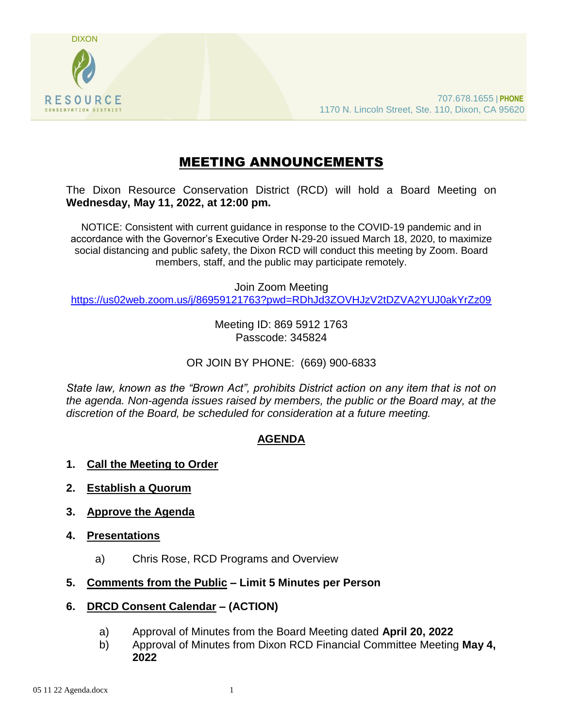

# MEETING ANNOUNCEMENTS

The Dixon Resource Conservation District (RCD) will hold a Board Meeting on **Wednesday, May 11, 2022, at 12:00 pm.** 

NOTICE: Consistent with current guidance in response to the COVID-19 pandemic and in accordance with the Governor's Executive Order N-29-20 issued March 18, 2020, to maximize social distancing and public safety, the Dixon RCD will conduct this meeting by Zoom. Board members, staff, and the public may participate remotely.

Join Zoom Meeting

<https://us02web.zoom.us/j/86959121763?pwd=RDhJd3ZOVHJzV2tDZVA2YUJ0akYrZz09>

Meeting ID: 869 5912 1763 Passcode: 345824

OR JOIN BY PHONE: (669) 900-6833

*State law, known as the "Brown Act", prohibits District action on any item that is not on the agenda. Non-agenda issues raised by members, the public or the Board may, at the discretion of the Board, be scheduled for consideration at a future meeting.*

## **AGENDA**

- **1. Call the Meeting to Order**
- **2. Establish a Quorum**
- **3. Approve the Agenda**
- **4. Presentations**
	- a) Chris Rose, RCD Programs and Overview
- **5. Comments from the Public – Limit 5 Minutes per Person**
- **6. DRCD Consent Calendar – (ACTION)**
	- a) Approval of Minutes from the Board Meeting dated **April 20, 2022**
	- b) Approval of Minutes from Dixon RCD Financial Committee Meeting **May 4, 2022**